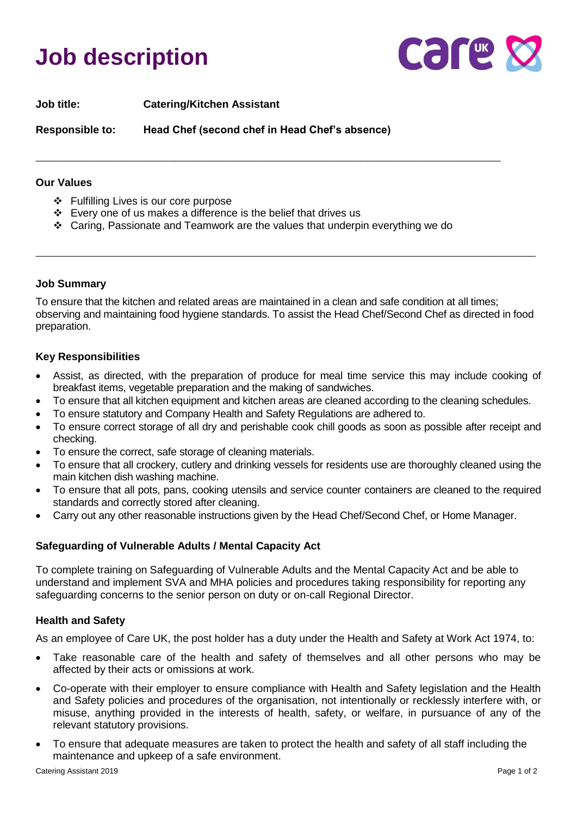# **Job description**



**Job title: Catering/Kitchen Assistant Responsible to: Head Chef (second chef in Head Chef's absence)**

#### **Our Values**

- ❖ Fulfilling Lives is our core purpose
- ❖ Every one of us makes a difference is the belief that drives us
- ❖ Caring, Passionate and Teamwork are the values that underpin everything we do

\_\_\_\_\_\_\_\_\_\_\_\_\_\_\_\_\_\_\_\_\_\_\_\_\_\_\_\_\_\_\_\_\_\_\_\_\_\_\_\_\_\_\_\_\_\_\_\_\_\_\_\_\_\_\_\_\_\_\_\_\_\_\_\_\_\_\_\_\_\_\_\_\_\_\_\_\_\_\_\_

#### **Job Summary**

To ensure that the kitchen and related areas are maintained in a clean and safe condition at all times; observing and maintaining food hygiene standards. To assist the Head Chef/Second Chef as directed in food preparation.

\_\_\_\_\_\_\_\_\_\_\_\_\_\_\_\_\_\_\_\_\_\_\_\_\_\_\_\_\_\_\_\_\_\_\_\_\_\_\_\_\_\_\_\_\_\_\_\_\_\_\_\_\_\_\_\_\_\_\_\_\_\_\_\_\_\_\_\_\_\_\_\_\_\_\_\_\_\_\_\_\_\_\_\_\_\_

#### **Key Responsibilities**

- Assist, as directed, with the preparation of produce for meal time service this may include cooking of breakfast items, vegetable preparation and the making of sandwiches.
- To ensure that all kitchen equipment and kitchen areas are cleaned according to the cleaning schedules.
- To ensure statutory and Company Health and Safety Regulations are adhered to.
- To ensure correct storage of all dry and perishable cook chill goods as soon as possible after receipt and checking.
- To ensure the correct, safe storage of cleaning materials.
- To ensure that all crockery, cutlery and drinking vessels for residents use are thoroughly cleaned using the main kitchen dish washing machine.
- To ensure that all pots, pans, cooking utensils and service counter containers are cleaned to the required standards and correctly stored after cleaning.
- Carry out any other reasonable instructions given by the Head Chef/Second Chef, or Home Manager.

### **Safeguarding of Vulnerable Adults / Mental Capacity Act**

To complete training on Safeguarding of Vulnerable Adults and the Mental Capacity Act and be able to understand and implement SVA and MHA policies and procedures taking responsibility for reporting any safeguarding concerns to the senior person on duty or on-call Regional Director.

### **Health and Safety**

As an employee of Care UK, the post holder has a duty under the Health and Safety at Work Act 1974, to:

- Take reasonable care of the health and safety of themselves and all other persons who may be affected by their acts or omissions at work.
- Co-operate with their employer to ensure compliance with Health and Safety legislation and the Health and Safety policies and procedures of the organisation, not intentionally or recklessly interfere with, or misuse, anything provided in the interests of health, safety, or welfare, in pursuance of any of the relevant statutory provisions.
- To ensure that adequate measures are taken to protect the health and safety of all staff including the maintenance and upkeep of a safe environment.